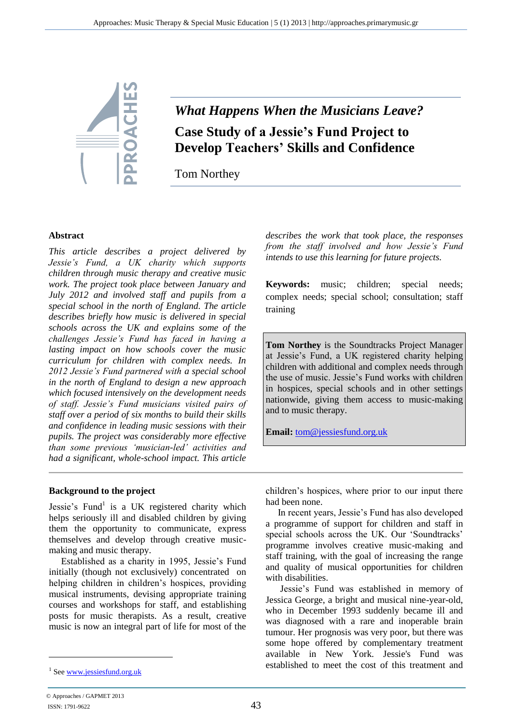

# *What Happens When the Musicians Leave?* **Case Study of a Jessie's Fund Project to Develop Teachers' Skills and Confidence**

Tom Northey

#### **Abstract**

*This article describes a project delivered by Jessie's Fund, a UK charity which supports children through music therapy and creative music work. The project took place between January and July 2012 and involved staff and pupils from a special school in the north of England. The article describes briefly how music is delivered in special schools across the UK and explains some of the challenges Jessie's Fund has faced in having a lasting impact on how schools cover the music curriculum for children with complex needs. In 2012 Jessie's Fund partnered with a special school in the north of England to design a new approach which focused intensively on the development needs of staff. Jessie's Fund musicians visited pairs of staff over a period of six months to build their skills and confidence in leading music sessions with their pupils. The project was considerably more effective than some previous 'musician-led' activities and had a significant, whole-school impact. This article* 

*describes the work that took place, the responses from the staff involved and how Jessie's Fund intends to use this learning for future projects.* 

**Keywords:** music; children; special needs; complex needs; special school; consultation; staff training

**Tom Northey** is the Soundtracks Project Manager at Jessie's Fund, a UK registered charity helping children with additional and complex needs through the use of music. Jessie's Fund works with children in hospices, special schools and in other settings nationwide, giving them access to music-making and to music therapy.

**Email:** [tom@jessiesfund.org.uk](mailto:tom@jessiesfund.org.uk)

#### **Background to the project**

Jessie's Fund<sup>1</sup> is a UK registered charity which helps seriously ill and disabled children by giving them the opportunity to communicate, express themselves and develop through creative musicmaking and music therapy.

Established as a charity in 1995, Jessie's Fund initially (though not exclusively) concentrated on helping children in children's hospices, providing musical instruments, devising appropriate training courses and workshops for staff, and establishing posts for music therapists. As a result, creative music is now an integral part of life for most of the

children's hospices, where prior to our input there had been none.

In recent years, Jessie's Fund has also developed a programme of support for children and staff in special schools across the UK. Our 'Soundtracks' programme involves creative music-making and staff training, with the goal of increasing the range and quality of musical opportunities for children with disabilities.

Jessie's Fund was established in memory of Jessica George, a bright and musical nine-year-old, who in December 1993 suddenly became ill and was diagnosed with a rare and inoperable brain tumour. Her prognosis was very poor, but there was some hope offered by complementary treatment available in New York. Jessie's Fund was established to meet the cost of this treatment and

<sup>&</sup>lt;sup>1</sup> Se[e www.jessiesfund.org.uk](http://www.jessiesfund.org.uk/)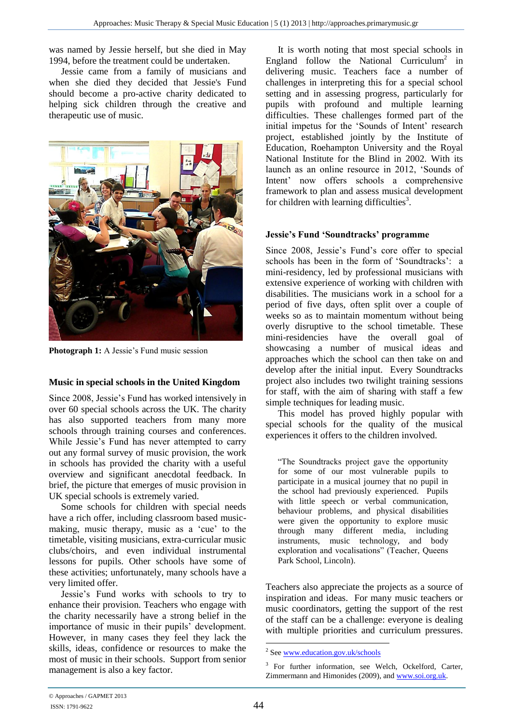was named by Jessie herself, but she died in May 1994, before the treatment could be undertaken.

Jessie came from a family of musicians and when she died they decided that Jessie's Fund should become a pro-active charity dedicated to helping sick children through the creative and therapeutic use of music.



**Photograph 1:** A Jessie's Fund music session

## **Music in special schools in the United Kingdom**

Since 2008, Jessie's Fund has worked intensively in over 60 special schools across the UK. The charity has also supported teachers from many more schools through training courses and conferences. While Jessie's Fund has never attempted to carry out any formal survey of music provision, the work in schools has provided the charity with a useful overview and significant anecdotal feedback. In brief, the picture that emerges of music provision in UK special schools is extremely varied.

Some schools for children with special needs have a rich offer, including classroom based musicmaking, music therapy, music as a 'cue' to the timetable, visiting musicians, extra-curricular music clubs/choirs, and even individual instrumental lessons for pupils. Other schools have some of these activities; unfortunately, many schools have a very limited offer.

Jessie's Fund works with schools to try to enhance their provision. Teachers who engage with the charity necessarily have a strong belief in the importance of music in their pupils' development. However, in many cases they feel they lack the skills, ideas, confidence or resources to make the most of music in their schools. Support from senior management is also a key factor.

It is worth noting that most special schools in England follow the National Curriculum<sup>2</sup> in delivering music. Teachers face a number of challenges in interpreting this for a special school setting and in assessing progress, particularly for pupils with profound and multiple learning difficulties. These challenges formed part of the initial impetus for the 'Sounds of Intent' research project, established jointly by the Institute of Education, Roehampton University and the Royal National Institute for the Blind in 2002. With its launch as an online resource in 2012, 'Sounds of Intent' now offers schools a comprehensive framework to plan and assess musical development for children with learning difficulties<sup>3</sup>.

## **Jessie's Fund 'Soundtracks' programme**

Since 2008, Jessie's Fund's core offer to special schools has been in the form of 'Soundtracks': a mini-residency, led by professional musicians with extensive experience of working with children with disabilities. The musicians work in a school for a period of five days, often split over a couple of weeks so as to maintain momentum without being overly disruptive to the school timetable. These mini-residencies have the overall goal of showcasing a number of musical ideas and approaches which the school can then take on and develop after the initial input. Every Soundtracks project also includes two twilight training sessions for staff, with the aim of sharing with staff a few simple techniques for leading music.

This model has proved highly popular with special schools for the quality of the musical experiences it offers to the children involved.

"The Soundtracks project gave the opportunity for some of our most vulnerable pupils to participate in a musical journey that no pupil in the school had previously experienced. Pupils with little speech or verbal communication, behaviour problems, and physical disabilities were given the opportunity to explore music through many different media, including instruments, music technology, and body exploration and vocalisations" (Teacher, Queens Park School, Lincoln).

Teachers also appreciate the projects as a source of inspiration and ideas. For many music teachers or music coordinators, getting the support of the rest of the staff can be a challenge: everyone is dealing with multiple priorities and curriculum pressures.

1

<sup>&</sup>lt;sup>2</sup> Se[e www.education.gov.uk/schools](http://www.education.gov.uk/schools)

<sup>&</sup>lt;sup>3</sup> For further information, see Welch, Ockelford, Carter, Zimmermann and Himonides (2009), and [www.soi.org.uk.](http://www.soi.org.uk/)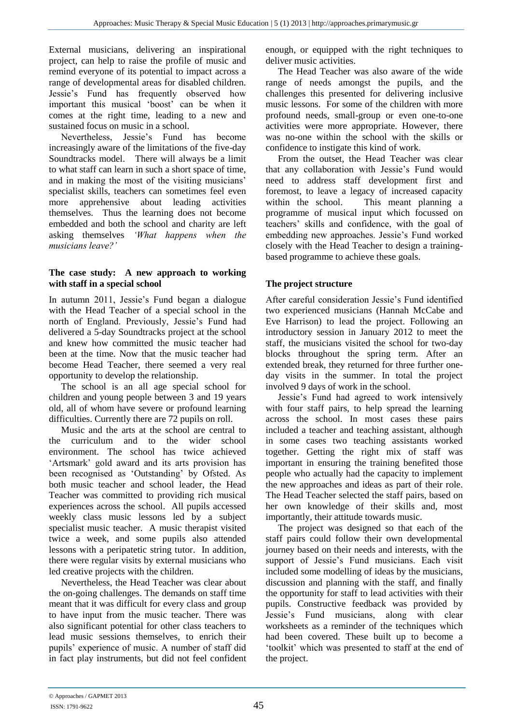External musicians, delivering an inspirational project, can help to raise the profile of music and remind everyone of its potential to impact across a range of developmental areas for disabled children. Jessie's Fund has frequently observed how important this musical 'boost' can be when it comes at the right time, leading to a new and sustained focus on music in a school.

Nevertheless, Jessie's Fund has become increasingly aware of the limitations of the five-day Soundtracks model. There will always be a limit to what staff can learn in such a short space of time, and in making the most of the visiting musicians' specialist skills, teachers can sometimes feel even more apprehensive about leading activities themselves. Thus the learning does not become embedded and both the school and charity are left asking themselves *'What happens when the musicians leave?'*

## **The case study: A new approach to working with staff in a special school**

In autumn 2011, Jessie's Fund began a dialogue with the Head Teacher of a special school in the north of England. Previously, Jessie's Fund had delivered a 5-day Soundtracks project at the school and knew how committed the music teacher had been at the time. Now that the music teacher had become Head Teacher, there seemed a very real opportunity to develop the relationship.

The school is an all age special school for children and young people between 3 and 19 years old, all of whom have severe or profound learning difficulties. Currently there are 72 pupils on roll.

Music and the arts at the school are central to the curriculum and to the wider school environment. The school has twice achieved 'Artsmark' gold award and its arts provision has been recognised as 'Outstanding' by Ofsted. As both music teacher and school leader, the Head Teacher was committed to providing rich musical experiences across the school. All pupils accessed weekly class music lessons led by a subject specialist music teacher. A music therapist visited twice a week, and some pupils also attended lessons with a peripatetic string tutor. In addition, there were regular visits by external musicians who led creative projects with the children.

Nevertheless, the Head Teacher was clear about the on-going challenges. The demands on staff time meant that it was difficult for every class and group to have input from the music teacher. There was also significant potential for other class teachers to lead music sessions themselves, to enrich their pupils' experience of music. A number of staff did in fact play instruments, but did not feel confident enough, or equipped with the right techniques to deliver music activities.

The Head Teacher was also aware of the wide range of needs amongst the pupils, and the challenges this presented for delivering inclusive music lessons. For some of the children with more profound needs, small-group or even one-to-one activities were more appropriate. However, there was no-one within the school with the skills or confidence to instigate this kind of work.

From the outset, the Head Teacher was clear that any collaboration with Jessie's Fund would need to address staff development first and foremost, to leave a legacy of increased capacity within the school. This meant planning a programme of musical input which focussed on teachers' skills and confidence, with the goal of embedding new approaches. Jessie's Fund worked closely with the Head Teacher to design a trainingbased programme to achieve these goals.

# **The project structure**

After careful consideration Jessie's Fund identified two experienced musicians (Hannah McCabe and Eve Harrison) to lead the project. Following an introductory session in January 2012 to meet the staff, the musicians visited the school for two-day blocks throughout the spring term. After an extended break, they returned for three further oneday visits in the summer. In total the project involved 9 days of work in the school.

Jessie's Fund had agreed to work intensively with four staff pairs, to help spread the learning across the school. In most cases these pairs included a teacher and teaching assistant, although in some cases two teaching assistants worked together. Getting the right mix of staff was important in ensuring the training benefited those people who actually had the capacity to implement the new approaches and ideas as part of their role. The Head Teacher selected the staff pairs, based on her own knowledge of their skills and, most importantly, their attitude towards music.

The project was designed so that each of the staff pairs could follow their own developmental journey based on their needs and interests, with the support of Jessie's Fund musicians. Each visit included some modelling of ideas by the musicians, discussion and planning with the staff, and finally the opportunity for staff to lead activities with their pupils. Constructive feedback was provided by Jessie's Fund musicians, along with clear worksheets as a reminder of the techniques which had been covered. These built up to become a 'toolkit' which was presented to staff at the end of the project.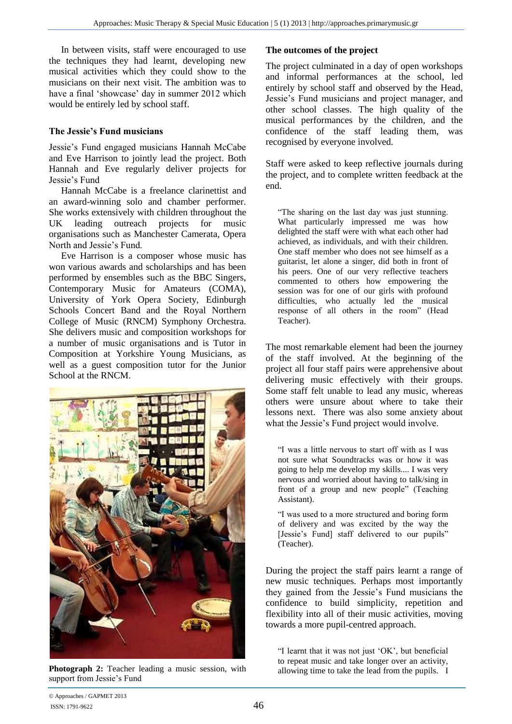In between visits, staff were encouraged to use the techniques they had learnt, developing new musical activities which they could show to the musicians on their next visit. The ambition was to have a final 'showcase' day in summer 2012 which would be entirely led by school staff.

#### **The Jessie's Fund musicians**

Jessie's Fund engaged musicians Hannah McCabe and Eve Harrison to jointly lead the project. Both Hannah and Eve regularly deliver projects for Jessie's Fund

Hannah McCabe is a freelance clarinettist and an award-winning solo and chamber performer. She works extensively with children throughout the UK leading outreach projects for music organisations such as Manchester Camerata, Opera North and Jessie's Fund.

Eve Harrison is a composer whose music has won various awards and scholarships and has been performed by ensembles such as the BBC Singers, Contemporary Music for Amateurs (COMA), University of York Opera Society, Edinburgh Schools Concert Band and the Royal Northern College of Music (RNCM) Symphony Orchestra. She delivers music and composition workshops for a number of music organisations and is Tutor in Composition at Yorkshire Young Musicians, as well as a guest composition tutor for the Junior School at the RNCM.



**Photograph 2:** Teacher leading a music session, with support from Jessie's Fund

# **The outcomes of the project**

The project culminated in a day of open workshops and informal performances at the school, led entirely by school staff and observed by the Head, Jessie's Fund musicians and project manager, and other school classes. The high quality of the musical performances by the children, and the confidence of the staff leading them, was recognised by everyone involved.

Staff were asked to keep reflective journals during the project, and to complete written feedback at the end.

"The sharing on the last day was just stunning. What particularly impressed me was how delighted the staff were with what each other had achieved, as individuals, and with their children. One staff member who does not see himself as a guitarist, let alone a singer, did both in front of his peers. One of our very reflective teachers commented to others how empowering the session was for one of our girls with profound difficulties, who actually led the musical response of all others in the room" (Head Teacher).

The most remarkable element had been the journey of the staff involved. At the beginning of the project all four staff pairs were apprehensive about delivering music effectively with their groups. Some staff felt unable to lead any music, whereas others were unsure about where to take their lessons next. There was also some anxiety about what the Jessie's Fund project would involve.

"I was a little nervous to start off with as I was not sure what Soundtracks was or how it was going to help me develop my skills.... I was very nervous and worried about having to talk/sing in front of a group and new people" (Teaching Assistant).

"I was used to a more structured and boring form of delivery and was excited by the way the [Jessie's Fund] staff delivered to our pupils" (Teacher).

During the project the staff pairs learnt a range of new music techniques. Perhaps most importantly they gained from the Jessie's Fund musicians the confidence to build simplicity, repetition and flexibility into all of their music activities, moving towards a more pupil-centred approach.

"I learnt that it was not just 'OK', but beneficial to repeat music and take longer over an activity, allowing time to take the lead from the pupils. I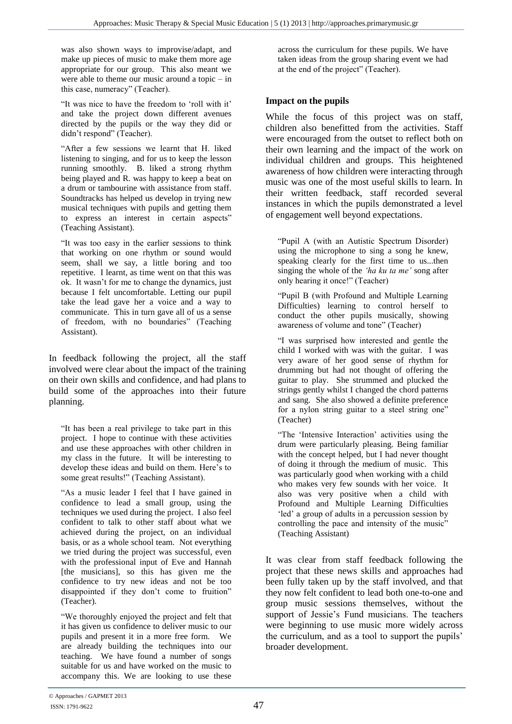was also shown ways to improvise/adapt, and make up pieces of music to make them more age appropriate for our group. This also meant we were able to theme our music around a topic – in this case, numeracy" (Teacher).

"It was nice to have the freedom to 'roll with it' and take the project down different avenues directed by the pupils or the way they did or didn't respond" (Teacher).

"After a few sessions we learnt that H. liked listening to singing, and for us to keep the lesson running smoothly. B. liked a strong rhythm being played and R. was happy to keep a beat on a drum or tambourine with assistance from staff. Soundtracks has helped us develop in trying new musical techniques with pupils and getting them to express an interest in certain aspects" (Teaching Assistant).

"It was too easy in the earlier sessions to think that working on one rhythm or sound would seem, shall we say, a little boring and too repetitive. I learnt, as time went on that this was ok. It wasn't for me to change the dynamics, just because I felt uncomfortable. Letting our pupil take the lead gave her a voice and a way to communicate. This in turn gave all of us a sense of freedom, with no boundaries" (Teaching Assistant).

In feedback following the project, all the staff involved were clear about the impact of the training on their own skills and confidence, and had plans to build some of the approaches into their future planning.

"It has been a real privilege to take part in this project. I hope to continue with these activities and use these approaches with other children in my class in the future. It will be interesting to develop these ideas and build on them. Here's to some great results!" (Teaching Assistant).

"As a music leader I feel that I have gained in confidence to lead a small group, using the techniques we used during the project. I also feel confident to talk to other staff about what we achieved during the project, on an individual basis, or as a whole school team. Not everything we tried during the project was successful, even with the professional input of Eve and Hannah [the musicians], so this has given me the confidence to try new ideas and not be too disappointed if they don't come to fruition" (Teacher).

"We thoroughly enjoyed the project and felt that it has given us confidence to deliver music to our pupils and present it in a more free form. We are already building the techniques into our teaching. We have found a number of songs suitable for us and have worked on the music to accompany this. We are looking to use these

across the curriculum for these pupils. We have taken ideas from the group sharing event we had at the end of the project" (Teacher).

# **Impact on the pupils**

While the focus of this project was on staff, children also benefitted from the activities. Staff were encouraged from the outset to reflect both on their own learning and the impact of the work on individual children and groups. This heightened awareness of how children were interacting through music was one of the most useful skills to learn. In their written feedback, staff recorded several instances in which the pupils demonstrated a level of engagement well beyond expectations.

"Pupil A (with an Autistic Spectrum Disorder) using the microphone to sing a song he knew, speaking clearly for the first time to us...then singing the whole of the *'ha ku ta me'* song after only hearing it once!" (Teacher)

"Pupil B (with Profound and Multiple Learning Difficulties) learning to control herself to conduct the other pupils musically, showing awareness of volume and tone" (Teacher)

"I was surprised how interested and gentle the child I worked with was with the guitar. I was very aware of her good sense of rhythm for drumming but had not thought of offering the guitar to play. She strummed and plucked the strings gently whilst I changed the chord patterns and sang. She also showed a definite preference for a nylon string guitar to a steel string one" (Teacher)

"The 'Intensive Interaction' activities using the drum were particularly pleasing. Being familiar with the concept helped, but I had never thought of doing it through the medium of music. This was particularly good when working with a child who makes very few sounds with her voice. It also was very positive when a child with Profound and Multiple Learning Difficulties 'led' a group of adults in a percussion session by controlling the pace and intensity of the music" (Teaching Assistant)

It was clear from staff feedback following the project that these news skills and approaches had been fully taken up by the staff involved, and that they now felt confident to lead both one-to-one and group music sessions themselves, without the support of Jessie's Fund musicians. The teachers were beginning to use music more widely across the curriculum, and as a tool to support the pupils' broader development.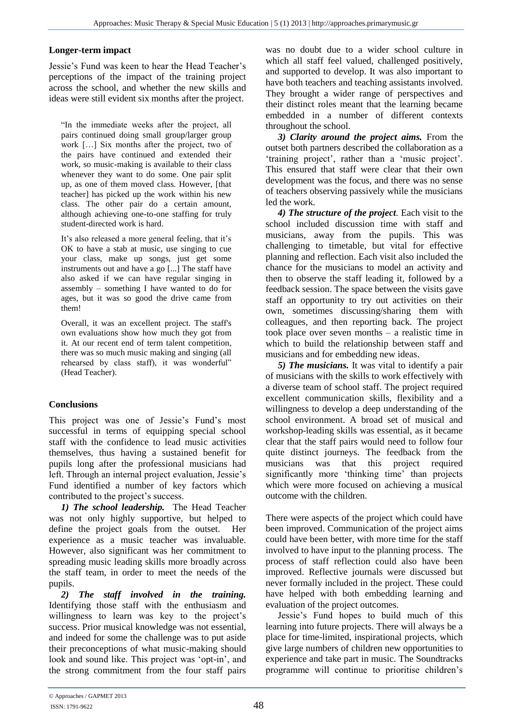## **Longer-term impact**

Jessie's Fund was keen to hear the Head Teacher's perceptions of the impact of the training project across the school, and whether the new skills and ideas were still evident six months after the project.

"In the immediate weeks after the project, all pairs continued doing small group/larger group work […] Six months after the project, two of the pairs have continued and extended their work, so music-making is available to their class whenever they want to do some. One pair split up, as one of them moved class. However, [that teacher] has picked up the work within his new class. The other pair do a certain amount, although achieving one-to-one staffing for truly student-directed work is hard.

It's also released a more general feeling, that it's OK to have a stab at music, use singing to cue your class, make up songs, just get some instruments out and have a go [...] The staff have also asked if we can have regular singing in assembly – something I have wanted to do for ages, but it was so good the drive came from them!

Overall, it was an excellent project. The staff's own evaluations show how much they got from it. At our recent end of term talent competition, there was so much music making and singing (all rehearsed by class staff), it was wonderful" (Head Teacher).

# **Conclusions**

This project was one of Jessie's Fund's most successful in terms of equipping special school staff with the confidence to lead music activities themselves, thus having a sustained benefit for pupils long after the professional musicians had left. Through an internal project evaluation, Jessie's Fund identified a number of key factors which contributed to the project's success.

*1) The school leadership.* The Head Teacher was not only highly supportive, but helped to define the project goals from the outset. Her experience as a music teacher was invaluable. However, also significant was her commitment to spreading music leading skills more broadly across the staff team, in order to meet the needs of the pupils.

*2) The staff involved in the training.* Identifying those staff with the enthusiasm and willingness to learn was key to the project's success. Prior musical knowledge was not essential, and indeed for some the challenge was to put aside their preconceptions of what music-making should look and sound like. This project was 'opt-in', and the strong commitment from the four staff pairs

was no doubt due to a wider school culture in which all staff feel valued, challenged positively, and supported to develop. It was also important to have both teachers and teaching assistants involved. They brought a wider range of perspectives and their distinct roles meant that the learning became embedded in a number of different contexts throughout the school.

*3) Clarity around the project aims.* From the outset both partners described the collaboration as a 'training project', rather than a 'music project'. This ensured that staff were clear that their own development was the focus, and there was no sense of teachers observing passively while the musicians led the work.

*4) The structure of the project.* Each visit to the school included discussion time with staff and musicians, away from the pupils. This was challenging to timetable, but vital for effective planning and reflection. Each visit also included the chance for the musicians to model an activity and then to observe the staff leading it, followed by a feedback session. The space between the visits gave staff an opportunity to try out activities on their own, sometimes discussing/sharing them with colleagues, and then reporting back. The project took place over seven months – a realistic time in which to build the relationship between staff and musicians and for embedding new ideas.

*5) The musicians.* It was vital to identify a pair of musicians with the skills to work effectively with a diverse team of school staff. The project required excellent communication skills, flexibility and a willingness to develop a deep understanding of the school environment. A broad set of musical and workshop-leading skills was essential, as it became clear that the staff pairs would need to follow four quite distinct journeys. The feedback from the musicians was that this project required significantly more 'thinking time' than projects which were more focused on achieving a musical outcome with the children.

There were aspects of the project which could have been improved. Communication of the project aims could have been better, with more time for the staff involved to have input to the planning process. The process of staff reflection could also have been improved. Reflective journals were discussed but never formally included in the project. These could have helped with both embedding learning and evaluation of the project outcomes.

Jessie's Fund hopes to build much of this learning into future projects. There will always be a place for time-limited, inspirational projects, which give large numbers of children new opportunities to experience and take part in music. The Soundtracks programme will continue to prioritise children's